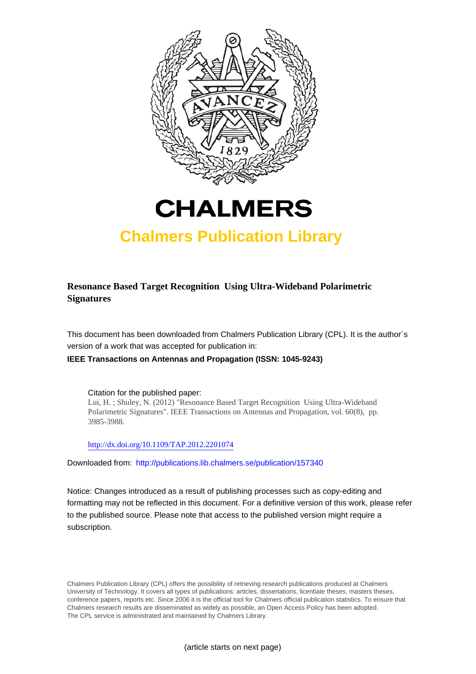



# **Chalmers Publication Library**

# **Resonance Based Target Recognition Using Ultra-Wideband Polarimetric Signatures**

This document has been downloaded from Chalmers Publication Library (CPL). It is the author´s version of a work that was accepted for publication in:

**IEEE Transactions on Antennas and Propagation (ISSN: 1045-9243)**

Citation for the published paper: Lui, H. ; Shuley, N. (2012) "Resonance Based Target Recognition Using Ultra-Wideband Polarimetric Signatures". IEEE Transactions on Antennas and Propagation, vol. 60(8), pp. 3985-3988.

<http://dx.doi.org/10.1109/TAP.2012.2201074>

Downloaded from: <http://publications.lib.chalmers.se/publication/157340>

Notice: Changes introduced as a result of publishing processes such as copy-editing and formatting may not be reflected in this document. For a definitive version of this work, please refer to the published source. Please note that access to the published version might require a subscription.

Chalmers Publication Library (CPL) offers the possibility of retrieving research publications produced at Chalmers University of Technology. It covers all types of publications: articles, dissertations, licentiate theses, masters theses, conference papers, reports etc. Since 2006 it is the official tool for Chalmers official publication statistics. To ensure that Chalmers research results are disseminated as widely as possible, an Open Access Policy has been adopted. The CPL service is administrated and maintained by Chalmers Library.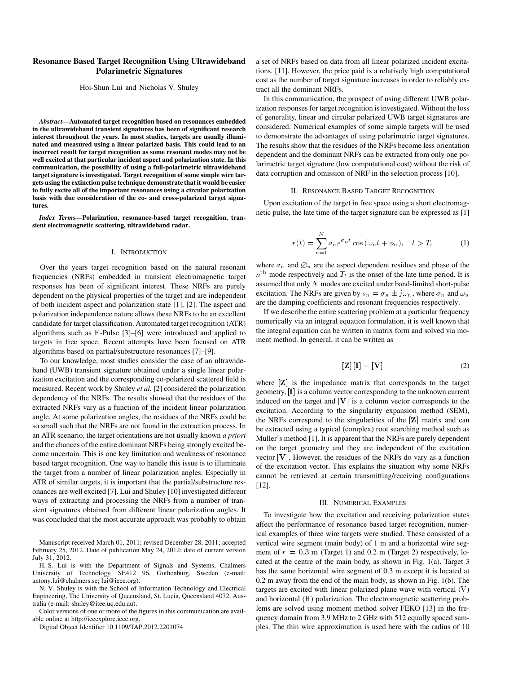# **Resonance Based Target Recognition Using Ultrawideband Polarimetric Signatures**

Hoi-Shun Lui and Nicholas V. Shuley

*Abstract—***Automated target recognition based on resonances embedded in the ultrawideband transient signatures has been of significant research interest throughout the years. In most studies, targets are usually illuminated and measured using a linear polarized basis. This could lead to an incorrect result for target recognition as some resonant modes may not be well excited at that particular incident aspect and polarization state. In this communication, the possibility of using a full-polarimetric ultrawideband target signature is investigated. Target recognition of some simple wire targets using the extinction pulse technique demonstrate that it would be easier to fully excite all of the important resonances using a circular polarization basis with due consideration of the co- and cross-polarized target signatures.**

*Index Terms—***Polarization, resonance-based target recognition, transient electromagnetic scattering, ultrawideband radar.**

#### I. INTRODUCTION

Over the years target recognition based on the natural resonant frequencies (NRFs) embedded in transient electromagnetic target responses has been of significant interest. These NRFs are purely dependent on the physical properties of the target and are independent of both incident aspect and polarization state [1], [2]. The aspect and polarization independence nature allows these NRFs to be an excellent candidate for target classification. Automated target recognition (ATR) algorithms such as  $E$ -Pulse  $[3]$ - $[6]$  were introduced and applied to targets in free space. Recent attempts have been focused on ATR algorithms based on partial/substructure resonances [7]–[9].

To our knowledge, most studies consider the case of an ultrawideband (UWB) transient signature obtained under a single linear polarization excitation and the corresponding co-polarized scattered field is measured. Recent work by Shuley *et al.* [2] considered the polarization dependency of the NRFs. The results showed that the residues of the extracted NRFs vary as a function of the incident linear polarization angle. At some polarization angles, the residues of the NRFs could be so small such that the NRFs are not found in the extraction process. In an ATR scenario, the target orientations are not usually known *a priori* and the chances of the entire dominant NRFs being strongly excited become uncertain. This is one key limitation and weakness of resonance based target recognition. One way to handle this issue is to illuminate the target from a number of linear polarization angles. Especially in ATR of similar targets, it is important that the partial/substructure resonances are well excited [7]. Lui and Shuley [10] investigated different ways of extracting and processing the NRFs from a number of transient signatures obtained from different linear polarization angles. It was concluded that the most accurate approach was probably to obtain

Manuscript received March 01, 2011; revised December 28, 2011; accepted February 25, 2012. Date of publication May 24, 2012; date of current version July 31, 2012.

H.-S. Lui is with the Department of Signals and Systems, Chalmers University of Technology, SE412 96, Gothenburg, Sweden (e-mail: antony.lui@chalmers.se; lui@ieee.org).

N. V. Shuley is with the School of Information Technology and Electrical Engineering, The University of Queensland, St. Lucia, Queensland 4072, Australia (e-mail: shuley@itee.uq.edu.au).

Color versions of one or more of the figures in this communication are available online at http://ieeexplore.ieee.org.

Digital Object Identifier 10.1109/TAP.2012.2201074

a set of NRFs based on data from all linear polarized incident excitations. [11]. However, the price paid is a relatively high computational cost as the number of target signature increases in order to reliably extract all the dominant NRFs.

In this communication, the prospect of using different UWB polarization responses for target recognition is investigated. Without the loss of generality, linear and circular polarized UWB target signatures are considered. Numerical examples of some simple targets will be used to demonstrate the advantages of using polarimetric target signatures. The results show that the residues of the NRFs become less orientation dependent and the dominant NRFs can be extracted from only one polarimetric target signature (low computational cost) without the risk of data corruption and omission of NRF in the selection process [10].

#### II. RESONANCE BASED TARGET RECOGNITION

Upon excitation of the target in free space using a short electromagnetic pulse, the late time of the target signature can be expressed as [1]

$$
r(t) = \sum_{n=1}^{N} a_n e^{\sigma_n t} \cos(\omega_n t + \phi_n), \quad t > T_l \tag{1}
$$

where  $a_n$  and  $\mathcal{O}_n$  are the aspect dependent residues and phase of the  $n^{\text{th}}$  mode respectively and  $\hat{T}_l$  is the onset of the late time period. It is assumed that only  $N$  modes are excited under band-limited short-pulse excitation. The NRFs are given by  $s_n = \sigma_n \pm j \omega_n$ , where  $\sigma_n$  and  $\omega_n$ are the damping coefficients and resonant frequencies respectively.

If we describe the entire scattering problem at a particular frequency numerically via an integral equation formulation, it is well known that the integral equation can be written in matrix form and solved via moment method. In general, it can be written as

$$
[\mathbf{Z}][\mathbf{I}] = [\mathbf{V}] \tag{2}
$$

where  $\mathbf{Z}$  is the impedance matrix that corresponds to the target geometry, [I] is a column vector corresponding to the unknown current induced on the target and  $[V]$  is a column vector corresponds to the excitation. According to the singularity expansion method (SEM), the NRFs correspond to the singularities of the  $[\mathbf{Z}]$  matrix and can be extracted using a typical (complex) root searching method such as Muller's method [1]. It is apparent that the NRFs are purely dependent on the target geometry and they are independent of the excitation vector  $[V]$ . However, the residues of the NRFs do vary as a function of the excitation vector. This explains the situation why some NRFs cannot be retrieved at certain transmitting/receiving configurations [12].

#### III. NUMERICAL EXAMPLES

To investigate how the excitation and receiving polarization states affect the performance of resonance based target recognition, numerical examples of three wire targets were studied. These consisted of a vertical wire segment (main body) of 1 m and a horizontal wire segment of  $r = 0.3$  m (Target 1) and 0.2 m (Target 2) respectively, located at the centre of the main body, as shown in Fig. 1(a). Target 3 has the same horizontal wire segment of 0.3 m except it is located at 0.2 m away from the end of the main body, as shown in Fig. 1(b). The targets are excited with linear polarized plane wave with vertical  $(V)$ and horizontal  $(H)$  polarization. The electromagnetic scattering problems are solved using moment method solver FEKO [13] in the frequency domain from 3.9 MHz to 2 GHz with 512 equally spaced samples. The thin wire approximation is used here with the radius of 10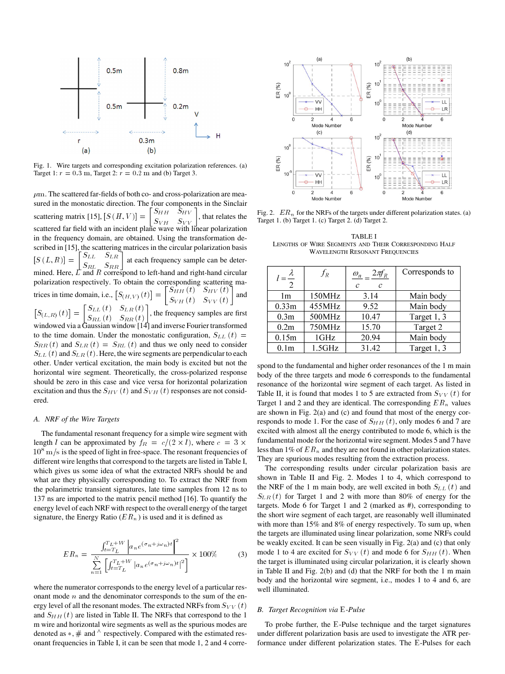

Fig. 1. Wire targets and corresponding excitation polarization references. (a) Target 1:  $r = 0.3$  m, Target 2:  $r = 0.2$  m and (b) Target 3.

 $\mu$ m. The scattered far-fields of both co- and cross-polarization are measured in the monostatic direction. The four components in the Sinclair scattering matrix [15],  $[S(H, V)] = \begin{bmatrix} S_{HH} & S \\ S_{HH} & S_{HH} \end{bmatrix}$  $_{HV}$  $S_{VH}-S$  $_{VV}$  scattered far field with an incident plane wave with linear polarization , that relates the in the frequency domain, are obtained. Using the transformation described in [15], the scattering matrices in the circular polarization basis  $[S(L,R)] = \begin{bmatrix} S \\ S \end{bmatrix}$  $S_{LL}$  $S_{LR}$  $S_{RL}$  -  $S$  $\mathcal{S}_{RR}$ at each frequency sample can be determined. Here,  $\overline{L}$  and  $\overline{R}$  correspond to left-hand and right-hand circular polarization respectively. To obtain the corresponding scattering matrices in time domain, i.e.,  $[S_{(H,V)}(t)] = \begin{bmatrix} S \\ S \end{bmatrix}$  $_{HH}\left( t\right) -S_{HV}\left( t\right)$  $S_{VH}(t)$   $S_{VV}(t)$  and  $S_{VV}(t)$  $\left[S_{(L,R)}(t)\right]=\begin{bmatrix} S_{LL}\left(t\right) & S_{LR}\left(t\right) \ \mathbf{S}_{LR}\left(t\right) & \mathbf{S}_{LR}\left(t\right) \end{bmatrix}$  $S_{RL}(t) = S_{RR}(t)$ , the frequency samples are first windowed via a Gaussian window  $\left[14\right]$  and inverse Fourier transformed to the time domain. Under the monostatic configuration,  $S_{LL}(t)$  =  $S_{RR}(t)$  and  $S_{LR}(t) = S_{RL}(t)$  and thus we only need to consider  $S_{LL}(t)$  and  $S_{LR}(t)$ . Here, the wire segments are perpendicular to each other. Under vertical excitation, the main body is excited but not the horizontal wire segment. Theoretically, the cross-polarized response should be zero in this case and vice versa for horizontal polarization excitation and thus the  $S_{HV}(t)$  and  $S_{VH}(t)$  responses are not considered.

#### *A. NRF of the Wire Targets*

The fundamental resonant frequency for a simple wire segment with length *l* can be approximated by  $f_R = c/(2 \times l)$ , where  $c = 3 \times l$  $10^8$  m/s is the speed of light in free-space. The resonant frequencies of different wire lengths that correspond to the targets are listed in Table I, which gives us some idea of what the extracted NRFs should be and what are they physically corresponding to. To extract the NRF from the polarimetric transient signatures, late time samples from 12 ns to 137 ns are imported to the matrix pencil method [16]. To quantify the energy level of each NRF with respect to the overall energy of the target signature, the Energy Ratio  $(ER_n)$  is used and it is defined as

$$
ER_n = \frac{\int_{t=T_L}^{T_L + W} \left| a_n e^{(\sigma_n + j\omega_n)t} \right|^2}{\sum_{n=1}^N \left[ \int_{t=T_L}^{T_L + W} \left| a_n e^{(\sigma_n + j\omega_n)t} \right|^2 \right]} \times 100\% \tag{3}
$$

where the numerator corresponds to the energy level of a particular resonant mode  $n$  and the denominator corresponds to the sum of the energy level of all the resonant modes. The extracted NRFs from  $S_{VV}\left(t\right)$ and  $S_{HH}(t)$  are listed in Table II. The NRFs that correspond to the 1 m wire and horizontal wire segments as well as the spurious modes are denoted as  $*, \#$  and  $\wedge$  respectively. Compared with the estimated resonant frequencies in Table I, it can be seen that mode 1, 2 and 4 corre-



Fig. 2.  $ER_n$  for the NRFs of the targets under different polarization states. (a) Target 1. (b) Target 1. (c) Target 2. (d) Target 2.

TABLE I LENGTHS OF WIRE SEGMENTS AND THEIR CORRESPONDING HALF WAVELENGTH RESONANT FREQUENCIES

| $v = \frac{\lambda}{2}$ | $f_R$  | $2\pi f_R$<br>$\omega_n$<br>$\mathcal{C}$<br>$\mathcal{C}$ | Corresponds to |
|-------------------------|--------|------------------------------------------------------------|----------------|
| 1 <sub>m</sub>          | 150MHz | 3.14                                                       | Main body      |
| 0.33m                   | 455MHz | 9.52                                                       | Main body      |
| 0.3 <sub>m</sub>        | 500MHz | 10.47                                                      | Target 1, 3    |
| 0.2 <sub>m</sub>        | 750MHz | 15.70                                                      | Target 2       |
| 0.15m                   | 1GHz   | 20.94                                                      | Main body      |
| 0.1 <sub>m</sub>        | 1.5GHz | 31.42                                                      | Target 1, 3    |

spond to the fundamental and higher order resonances of the 1 m main body of the three targets and mode 6 corresponds to the fundamental resonance of the horizontal wire segment of each target. As listed in Table II, it is found that modes 1 to 5 are extracted from  $S_{VV}(t)$  for Target 1 and 2 and they are identical. The corresponding  $ER_n$  values are shown in Fig. 2(a) and (c) and found that most of the energy corresponds to mode 1. For the case of  $S_{HH}(t)$ , only modes 6 and 7 are excited with almost all the energy contributed to mode 6, which is the fundamental mode for the horizontal wire segment. Modes 5 and 7 have less than 1% of  $E R_n$  and they are not found in other polarization states. They are spurious modes resulting from the extraction process.

The corresponding results under circular polarization basis are shown in Table II and Fig. 2. Modes 1 to 4, which correspond to the NRF of the 1 m main body, are well excited in both  $S_{LL}(t)$  and  $S_{LR}(t)$  for Target 1 and 2 with more than 80% of energy for the targets. Mode 6 for Target 1 and 2 (marked as #), corresponding to the short wire segment of each target, are reasonably well illuminated with more than 15% and 8% of energy respectively. To sum up, when the targets are illuminated using linear polarization, some NRFs could be weakly excited. It can be seen visually in Fig. 2(a) and (c) that only mode 1 to 4 are excited for  $S_{VV}(t)$  and mode 6 for  $S_{HH}(t)$ . When the target is illuminated using circular polarization, it is clearly shown in Table II and Fig. 2(b) and (d) that the NRF for both the 1 m main body and the horizontal wire segment, i.e., modes 1 to 4 and 6, are well illuminated.

## *B. Target Recognition via* E-Pulse

To probe further, the E-Pulse technique and the target signatures under different polarization basis are used to investigate the ATR performance under different polarization states. The E-Pulses for each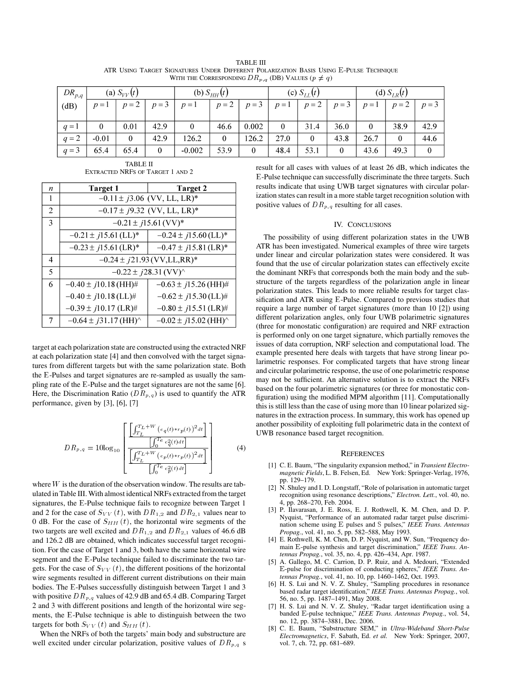|  |  | <b>TABLE III</b> |                                                                                        |  |  |
|--|--|------------------|----------------------------------------------------------------------------------------|--|--|
|  |  |                  | ATR USING TARGET SIGNATURES UNDER DIFFERENT POLARIZATION BASIS USING E-PULSE TECHNIOUE |  |  |
|  |  |                  | WITH THE CORRESPONDING $DR_{n,q}$ (DB) VALUES ( $p \neq q$ )                           |  |  |

| $DR_{p,q}$ | (a) $S_{VV}(t)$ |       |          | (b) $S_{HH}(t)$ |       |       | (c) $S_{LL}(t)$ |       |       | (d) $S_{LR}(t)$ |       |          |
|------------|-----------------|-------|----------|-----------------|-------|-------|-----------------|-------|-------|-----------------|-------|----------|
| (dB)       | $p=1$           | $p=2$ | $p = 3$  | $p=1$           | $p=2$ | $p=3$ | $p=1$           | $p=2$ | $p=3$ | $p=1$           | $p=2$ | $p=3$    |
|            |                 |       |          |                 |       |       |                 |       |       |                 |       |          |
| $q=1$      |                 | 0.01  | 42.9     | 0               | 46.6  | 0.002 | $\theta$        | 31.4  | 36.0  | $\theta$        | 38.9  | 42.9     |
| $q=2$      | $-0.01$         | 0     | 42.9     | 126.2           | 0     | 126.2 | 27.0            | 0     | 43.8  | 26.7            | 0     | 44.6     |
| $q=3$      | 65.4            | 65.4  | $\bf{0}$ | $-0.002$        | 53.9  | 0     | 48.4            | 53.1  |       | 43.6            | 49.3  | $\bf{0}$ |

TABLE II EXTRACTED NRFS OF TARGET 1 AND 2

| n              | <b>Target 1</b>                                       | Target 2                                              |  |  |  |  |  |
|----------------|-------------------------------------------------------|-------------------------------------------------------|--|--|--|--|--|
| 1              | $-0.11 \pm j3.06$ (VV, LL, LR)*                       |                                                       |  |  |  |  |  |
| $\mathfrak{D}$ | $-0.17 \pm j9.32$ (VV, LL, LR)*                       |                                                       |  |  |  |  |  |
| $\mathbf{3}$   | $-0.21 \pm j15.61$ (VV)*                              |                                                       |  |  |  |  |  |
|                | $-0.21 \pm j15.61$ (LL)*                              | $-0.24 \pm j15.60$ (LL)*                              |  |  |  |  |  |
|                | $-0.23 \pm j15.61$ (LR) <sup>*</sup>                  | $-0.47 \pm j15.81$ (LR)*                              |  |  |  |  |  |
| 4              | $-0.24 \pm j21.93$ (VV,LL,RR)*                        |                                                       |  |  |  |  |  |
| 5              | $-0.22 \pm i28.31$ (VV) <sup><math>\land</math></sup> |                                                       |  |  |  |  |  |
| 6              | $-0.40 \pm j10.18$ (HH)#                              | $-0.63 \pm j15.26$ (HH)#                              |  |  |  |  |  |
|                | $-0.40 \pm j10.18$ (LL)#                              | $-0.62 \pm j15.30$ (LL)#                              |  |  |  |  |  |
|                | $-0.39 \pm j10.17$ (LR)#                              | $-0.80 \pm j15.51$ (LR)#                              |  |  |  |  |  |
| 7              | $-0.64 \pm j31.17$ (HH) <sup><math>\land</math></sup> | $-0.02 \pm j15.02$ (HH) <sup><math>\land</math></sup> |  |  |  |  |  |

target at each polarization state are constructed using the extracted NRF at each polarization state [4] and then convolved with the target signatures from different targets but with the same polarization state. Both the E-Pulses and target signatures are re-sampled as usually the sampling rate of the  $E$ -Pulse and the target signatures are not the same [6]. Here, the Discrimination Ratio  $(DR_{p,q})$  is used to quantify the ATR performance, given by [3], [6], [7]

$$
DR_{p,q} = 10\log_{10}\left[\frac{\left[\int_{T_L}^{T_L + W} (e_q(t) \cdot r_p(t))^2 dt\right]}{\left[\int_{0}^{T_e} e_q^2(t) dt\right]} - \frac{\left[\int_{0}^{T_L + W} (e_p(t) \cdot r_p(t))^2 dt\right]}{\left[\int_{0}^{T_e} e_p^2(t) dt\right]}\right]
$$
(4)

where  $W$  is the duration of the observation window. The results are tabulated in Table III. With almost identical NRFs extracted from the target signatures, the E-Pulse technique fails to recognize between Target 1 and 2 for the case of  $S_{VV}(t)$ , with  $DR_{1,2}$  and  $DR_{2,1}$  values near to 0 dB. For the case of  $S_{HH}(t)$ , the horizontal wire segments of the two targets are well excited and  $DR_{1,2}$  and  $DR_{2,1}$  values of 46.6 dB and 126.2 dB are obtained, which indicates successful target recognition. For the case of Target 1 and 3, both have the same horizontal wire segment and the E-Pulse technique failed to discriminate the two targets. For the case of  $S_{VV}(t)$ , the different positions of the horizontal wire segments resulted in different current distributions on their main bodies. The E-Pulses successfully distinguish between Target 1 and 3 with positive  $DR_{p,q}$  values of 42.9 dB and 65.4 dB. Comparing Target 2 and 3 with different positions and length of the horizontal wire segments, the E-Pulse technique is able to distinguish between the two targets for both  $S_{VV}(t)$  and  $S_{HH}(t)$ .

When the NRFs of both the targets' main body and substructure are well excited under circular polarization, positive values of  $DR_{p,q}$  s result for all cases with values of at least 26 dB, which indicates the -Pulse technique can successfully discriminate the three targets. Such results indicate that using UWB target signatures with circular polarization states can result in a more stable target recognition solution with positive values of  $DR_{p,q}$  resulting for all cases.

### IV. CONCLUSIONS

The possibility of using different polarization states in the UWB ATR has been investigated. Numerical examples of three wire targets under linear and circular polarization states were considered. It was found that the use of circular polarization states can effectively excite the dominant NRFs that corresponds both the main body and the substructure of the targets regardless of the polarization angle in linear polarization states. This leads to more reliable results for target classification and ATR using E-Pulse. Compared to previous studies that require a large number of target signatures (more than 10 [2]) using different polarization angles, only four UWB polarimetric signatures (three for monostatic configuration) are required and NRF extraction is performed only on one target signature, which partially removes the issues of data corruption, NRF selection and computational load. The example presented here deals with targets that have strong linear polarimetric responses. For complicated targets that have strong linear and circular polarimetric response, the use of one polarimetric response may not be sufficient. An alternative solution is to extract the NRFs based on the four polarimetric signatures (or three for monostatic configuration) using the modified MPM algorithm [11]. Computationally this is still less than the case of using more than 10 linear polarized signatures in the extraction process. In summary, this work has opened up another possibility of exploiting full polarimetric data in the context of UWB resonance based target recognition.

#### **REFERENCES**

- [1] C. E. Baum, "The singularity expansion method," in *Transient Electromagnetic Fields*, L. B. Felsen, Ed. New York: Springer-Verlag, 1976, pp. 129–179.
- [2] N. Shuley and I. D. Longstaff, "Role of polarisation in automatic target recognition using resonance descriptions," *Electron. Lett.*, vol. 40, no. 4, pp. 268–270, Feb. 2004.
- [3] P. Ilavarasan, J. E. Ross, E. J. Rothwell, K. M. Chen, and D. P. Nyquist, "Performance of an automated radar target pulse discrimination scheme using E pulses and S pulses," *IEEE Trans. Antennas Propag.*, vol. 41, no. 5, pp. 582–588, May 1993.
- [4] E. Rothwell, K. M. Chen, D. P. Nyquist, and W. Sun, "Frequency domain E-pulse synthesis and target discrimination," IEEE Trans. An*tennas Propag.*, vol. 35, no. 4, pp. 426–434, Apr. 1987.
- [5] A. Gallego, M. C. Carrion, D. P. Ruiz, and A. Medouri, "Extended -pulse for discrimination of conducting spheres," *IEEE Trans. Antennas Propag.*, vol. 41, no. 10, pp. 1460–1462, Oct. 1993.
- [6] H. S. Lui and N. V. Z. Shuley, "Sampling procedures in resonance based radar target identification," *IEEE Trans. Antennas Propag.*, vol. 56, no. 5, pp. 1487–1491, May 2008.
- [7] H. S. Lui and N. V. Z. Shuley, "Radar target identification using a banded E-pulse technique," *IEEE Trans. Antennas Propag.*, vol. 54, no. 12, pp. 3874–3881, Dec. 2006.
- [8] C. E. Baum, "Substructure SEM," in *Ultra-Wideband Short-Pulse Electromagnetics*, F. Sabath, Ed. *et al.* New York: Springer, 2007, vol. 7, ch. 72, pp. 681–689.